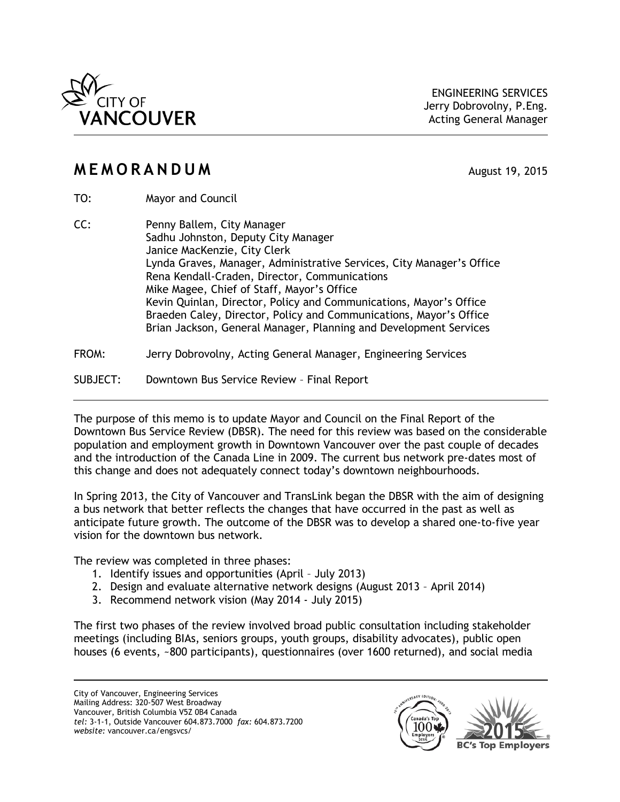

## **MEMORANDUM** August 19, 2015

- TO: Mayor and Council
- CC: Penny Ballem, City Manager Sadhu Johnston, Deputy City Manager Janice MacKenzie, City Clerk Lynda Graves, Manager, Administrative Services, City Manager's Office Rena Kendall-Craden, Director, Communications Mike Magee, Chief of Staff, Mayor's Office Kevin Quinlan, Director, Policy and Communications, Mayor's Office Braeden Caley, Director, Policy and Communications, Mayor's Office Brian Jackson, General Manager, Planning and Development Services
- FROM: Jerry Dobrovolny, Acting General Manager, Engineering Services
- SUBJECT: Downtown Bus Service Review Final Report

The purpose of this memo is to update Mayor and Council on the Final Report of the Downtown Bus Service Review (DBSR). The need for this review was based on the considerable population and employment growth in Downtown Vancouver over the past couple of decades and the introduction of the Canada Line in 2009. The current bus network pre-dates most of this change and does not adequately connect today's downtown neighbourhoods.

In Spring 2013, the City of Vancouver and TransLink began the DBSR with the aim of designing a bus network that better reflects the changes that have occurred in the past as well as anticipate future growth. The outcome of the DBSR was to develop a shared one-to-five year vision for the downtown bus network.

The review was completed in three phases:

- 1. Identify issues and opportunities (April July 2013)
- 2. Design and evaluate alternative network designs (August 2013 April 2014)
- 3. Recommend network vision (May 2014 July 2015)

The first two phases of the review involved broad public consultation including stakeholder meetings (including BIAs, seniors groups, youth groups, disability advocates), public open houses (6 events, ~800 participants), questionnaires (over 1600 returned), and social media

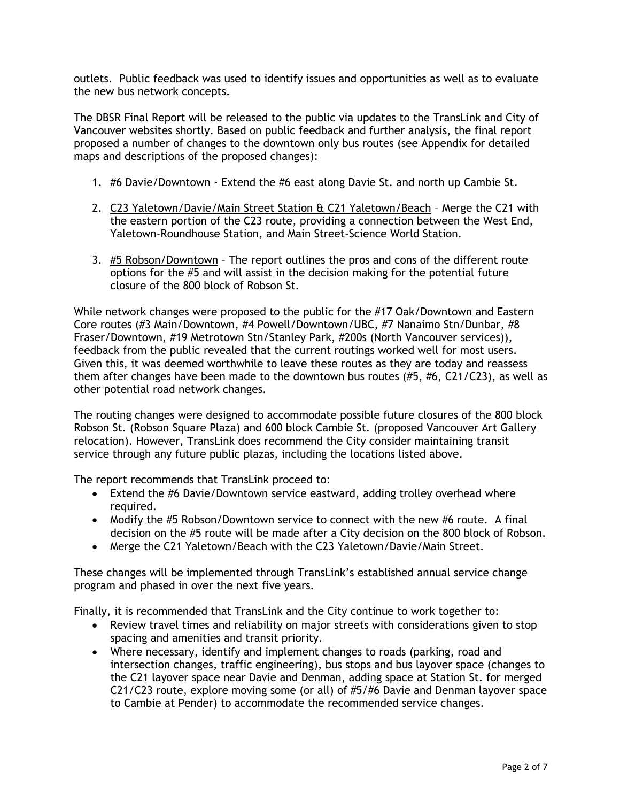outlets. Public feedback was used to identify issues and opportunities as well as to evaluate the new bus network concepts.

The DBSR Final Report will be released to the public via updates to the TransLink and City of Vancouver websites shortly. Based on public feedback and further analysis, the final report proposed a number of changes to the downtown only bus routes (see Appendix for detailed maps and descriptions of the proposed changes):

- 1. #6 Davie/Downtown Extend the #6 east along Davie St. and north up Cambie St.
- 2. C23 Yaletown/Davie/Main Street Station & C21 Yaletown/Beach Merge the C21 with the eastern portion of the C23 route, providing a connection between the West End, Yaletown-Roundhouse Station, and Main Street-Science World Station.
- 3. #5 Robson/Downtown The report outlines the pros and cons of the different route options for the #5 and will assist in the decision making for the potential future closure of the 800 block of Robson St.

While network changes were proposed to the public for the #17 Oak/Downtown and Eastern Core routes (#3 Main/Downtown, #4 Powell/Downtown/UBC, #7 Nanaimo Stn/Dunbar, #8 Fraser/Downtown, #19 Metrotown Stn/Stanley Park, #200s (North Vancouver services)), feedback from the public revealed that the current routings worked well for most users. Given this, it was deemed worthwhile to leave these routes as they are today and reassess them after changes have been made to the downtown bus routes (#5, #6, C21/C23), as well as other potential road network changes.

The routing changes were designed to accommodate possible future closures of the 800 block Robson St. (Robson Square Plaza) and 600 block Cambie St. (proposed Vancouver Art Gallery relocation). However, TransLink does recommend the City consider maintaining transit service through any future public plazas, including the locations listed above.

The report recommends that TransLink proceed to:

- Extend the #6 Davie/Downtown service eastward, adding trolley overhead where required.
- Modify the #5 Robson/Downtown service to connect with the new #6 route. A final decision on the #5 route will be made after a City decision on the 800 block of Robson.
- Merge the C21 Yaletown/Beach with the C23 Yaletown/Davie/Main Street.

These changes will be implemented through TransLink's established annual service change program and phased in over the next five years.

Finally, it is recommended that TransLink and the City continue to work together to:

- Review travel times and reliability on major streets with considerations given to stop spacing and amenities and transit priority.
- Where necessary, identify and implement changes to roads (parking, road and intersection changes, traffic engineering), bus stops and bus layover space (changes to the C21 layover space near Davie and Denman, adding space at Station St. for merged C21/C23 route, explore moving some (or all) of #5/#6 Davie and Denman layover space to Cambie at Pender) to accommodate the recommended service changes.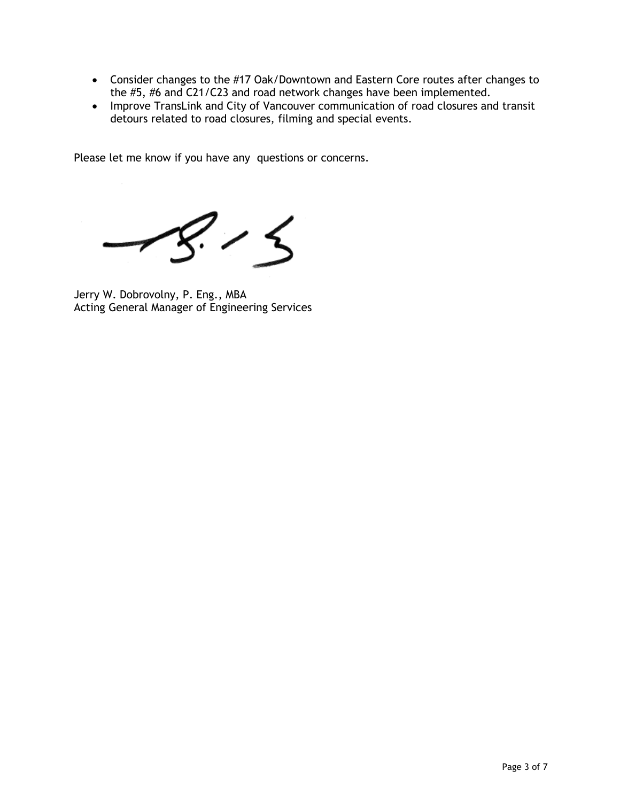- Consider changes to the #17 Oak/Downtown and Eastern Core routes after changes to the #5, #6 and C21/C23 and road network changes have been implemented.
- Improve TransLink and City of Vancouver communication of road closures and transit detours related to road closures, filming and special events.

Please let me know if you have any questions or concerns.

 $\frac{1}{\epsilon}$ 

Jerry W. Dobrovolny, P. Eng., MBA Acting General Manager of Engineering Services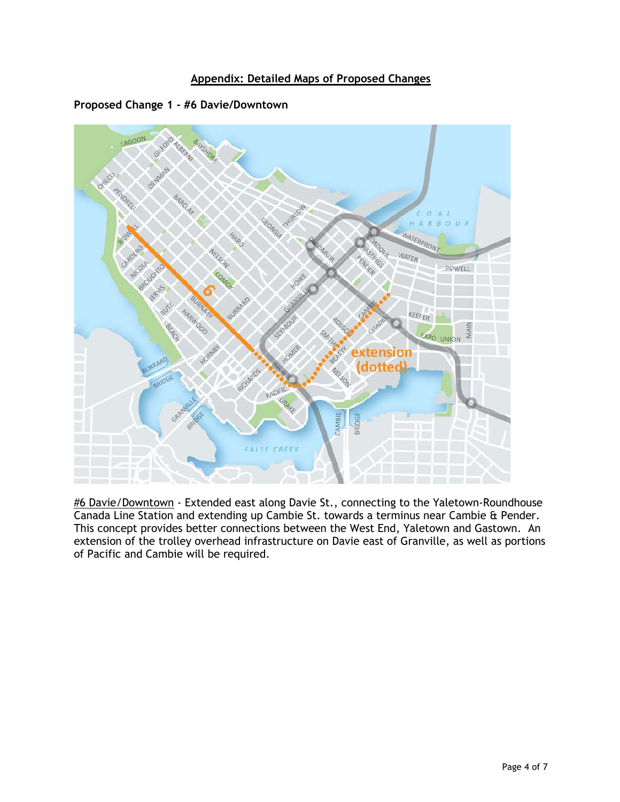



**Proposed Change 1 - #6 Davie/Downtown**

#6 Davie/Downtown - Extended east along Davie St., connecting to the Yaletown-Roundhouse Canada Line Station and extending up Cambie St. towards a terminus near Cambie & Pender. This concept provides better connections between the West End, Yaletown and Gastown. An extension of the trolley overhead infrastructure on Davie east of Granville, as well as portions of Pacific and Cambie will be required.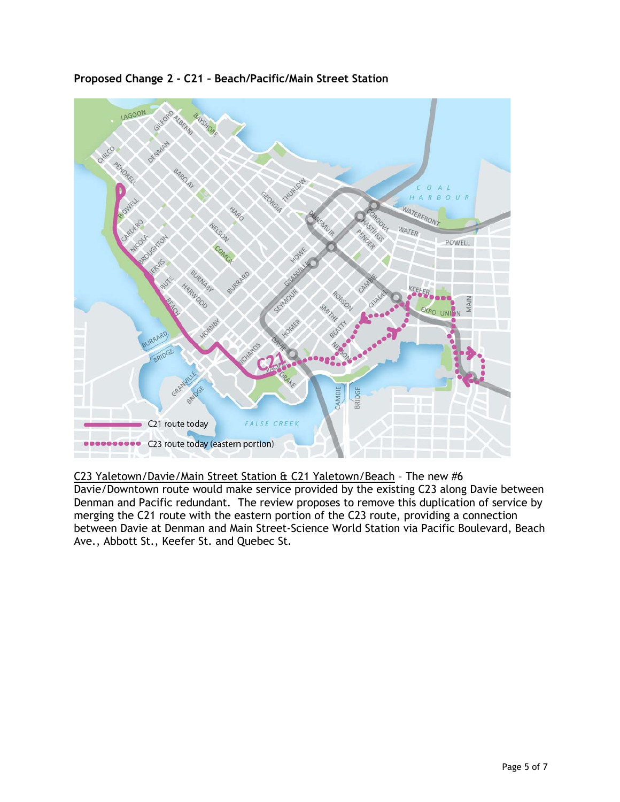

**Proposed Change 2 - C21 – Beach/Pacific/Main Street Station**

C23 Yaletown/Davie/Main Street Station & C21 Yaletown/Beach – The new #6 Davie/Downtown route would make service provided by the existing C23 along Davie between Denman and Pacific redundant. The review proposes to remove this duplication of service by merging the C21 route with the eastern portion of the C23 route, providing a connection between Davie at Denman and Main Street-Science World Station via Pacific Boulevard, Beach Ave., Abbott St., Keefer St. and Quebec St.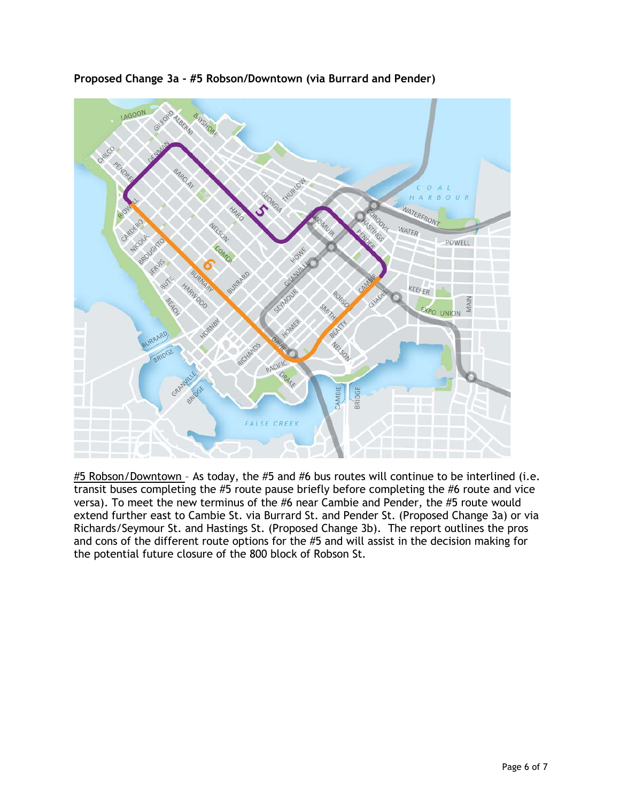

**Proposed Change 3a - #5 Robson/Downtown (via Burrard and Pender)**

 $#5$  Robson/Downtown - As today, the  $#5$  and  $#6$  bus routes will continue to be interlined (i.e. transit buses completing the #5 route pause briefly before completing the #6 route and vice versa). To meet the new terminus of the #6 near Cambie and Pender, the #5 route would extend further east to Cambie St. via Burrard St. and Pender St. (Proposed Change 3a) or via Richards/Seymour St. and Hastings St. (Proposed Change 3b). The report outlines the pros and cons of the different route options for the #5 and will assist in the decision making for the potential future closure of the 800 block of Robson St.